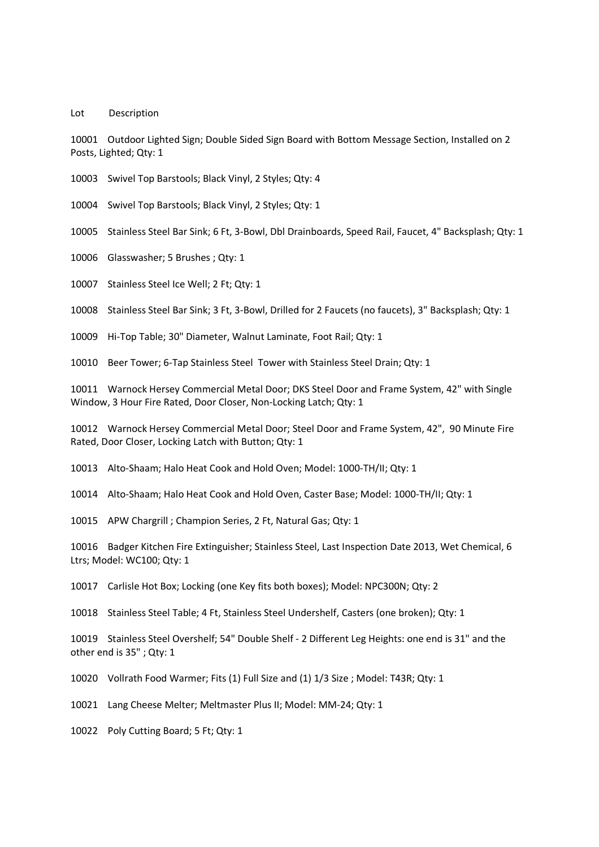Lot Description

10001 Outdoor Lighted Sign; Double Sided Sign Board with Bottom Message Section, Installed on 2 Posts, Lighted; Qty: 1

10003 Swivel Top Barstools; Black Vinyl, 2 Styles; Qty: 4

10004 Swivel Top Barstools; Black Vinyl, 2 Styles; Qty: 1

10005 Stainless Steel Bar Sink; 6 Ft, 3-Bowl, Dbl Drainboards, Speed Rail, Faucet, 4" Backsplash; Qty: 1

10006 Glasswasher; 5 Brushes ; Qty: 1

10007 Stainless Steel Ice Well; 2 Ft; Qty: 1

10008 Stainless Steel Bar Sink; 3 Ft, 3-Bowl, Drilled for 2 Faucets (no faucets), 3" Backsplash; Qty: 1

10009 Hi-Top Table; 30" Diameter, Walnut Laminate, Foot Rail; Qty: 1

10010 Beer Tower; 6-Tap Stainless Steel Tower with Stainless Steel Drain; Qty: 1

10011 Warnock Hersey Commercial Metal Door; DKS Steel Door and Frame System, 42" with Single Window, 3 Hour Fire Rated, Door Closer, Non-Locking Latch; Qty: 1

10012 Warnock Hersey Commercial Metal Door; Steel Door and Frame System, 42", 90 Minute Fire Rated, Door Closer, Locking Latch with Button; Qty: 1

10013 Alto-Shaam; Halo Heat Cook and Hold Oven; Model: 1000-TH/II; Qty: 1

10014 Alto-Shaam; Halo Heat Cook and Hold Oven, Caster Base; Model: 1000-TH/II; Qty: 1

10015 APW Chargrill ; Champion Series, 2 Ft, Natural Gas; Qty: 1

10016 Badger Kitchen Fire Extinguisher; Stainless Steel, Last Inspection Date 2013, Wet Chemical, 6 Ltrs; Model: WC100; Qty: 1

10017 Carlisle Hot Box; Locking (one Key fits both boxes); Model: NPC300N; Qty: 2

10018 Stainless Steel Table; 4 Ft, Stainless Steel Undershelf, Casters (one broken); Qty: 1

10019 Stainless Steel Overshelf; 54" Double Shelf - 2 Different Leg Heights: one end is 31" and the other end is 35" ; Qty: 1

10020 Vollrath Food Warmer; Fits (1) Full Size and (1) 1/3 Size ; Model: T43R; Qty: 1

10021 Lang Cheese Melter; Meltmaster Plus II; Model: MM-24; Qty: 1

10022 Poly Cutting Board; 5 Ft; Qty: 1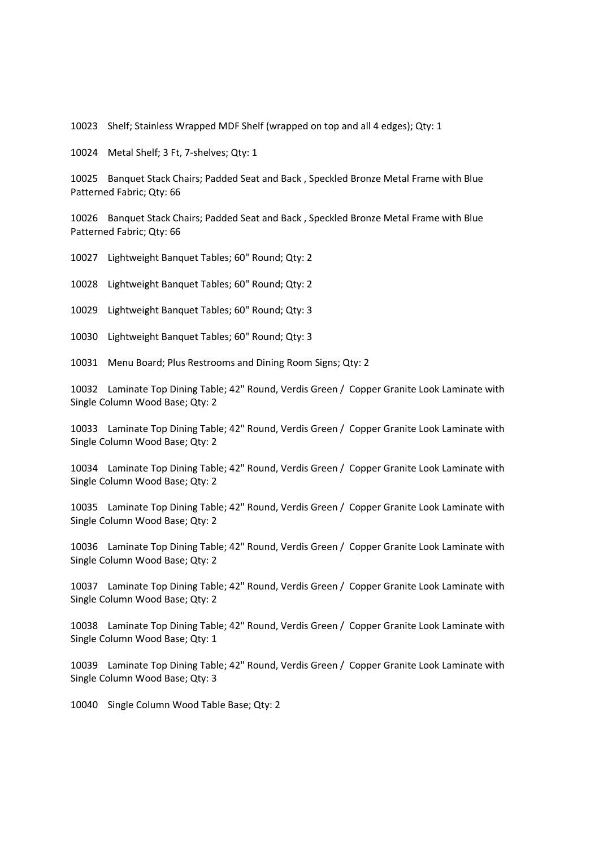10023 Shelf; Stainless Wrapped MDF Shelf (wrapped on top and all 4 edges); Qty: 1

10024 Metal Shelf; 3 Ft, 7-shelves; Qty: 1

10025 Banquet Stack Chairs; Padded Seat and Back , Speckled Bronze Metal Frame with Blue Patterned Fabric; Qty: 66

10026 Banquet Stack Chairs; Padded Seat and Back , Speckled Bronze Metal Frame with Blue Patterned Fabric; Qty: 66

10027 Lightweight Banquet Tables; 60" Round; Qty: 2

10028 Lightweight Banquet Tables; 60" Round; Qty: 2

10029 Lightweight Banquet Tables; 60" Round; Qty: 3

10030 Lightweight Banquet Tables; 60" Round; Qty: 3

10031 Menu Board; Plus Restrooms and Dining Room Signs; Qty: 2

10032 Laminate Top Dining Table; 42" Round, Verdis Green / Copper Granite Look Laminate with Single Column Wood Base; Qty: 2

10033 Laminate Top Dining Table; 42" Round, Verdis Green / Copper Granite Look Laminate with Single Column Wood Base; Qty: 2

10034 Laminate Top Dining Table; 42" Round, Verdis Green / Copper Granite Look Laminate with Single Column Wood Base; Qty: 2

10035 Laminate Top Dining Table; 42" Round, Verdis Green / Copper Granite Look Laminate with Single Column Wood Base; Qty: 2

10036 Laminate Top Dining Table; 42" Round, Verdis Green / Copper Granite Look Laminate with Single Column Wood Base; Qty: 2

10037 Laminate Top Dining Table; 42" Round, Verdis Green / Copper Granite Look Laminate with Single Column Wood Base; Qty: 2

10038 Laminate Top Dining Table; 42" Round, Verdis Green / Copper Granite Look Laminate with Single Column Wood Base; Qty: 1

10039 Laminate Top Dining Table; 42" Round, Verdis Green / Copper Granite Look Laminate with Single Column Wood Base; Qty: 3

10040 Single Column Wood Table Base; Qty: 2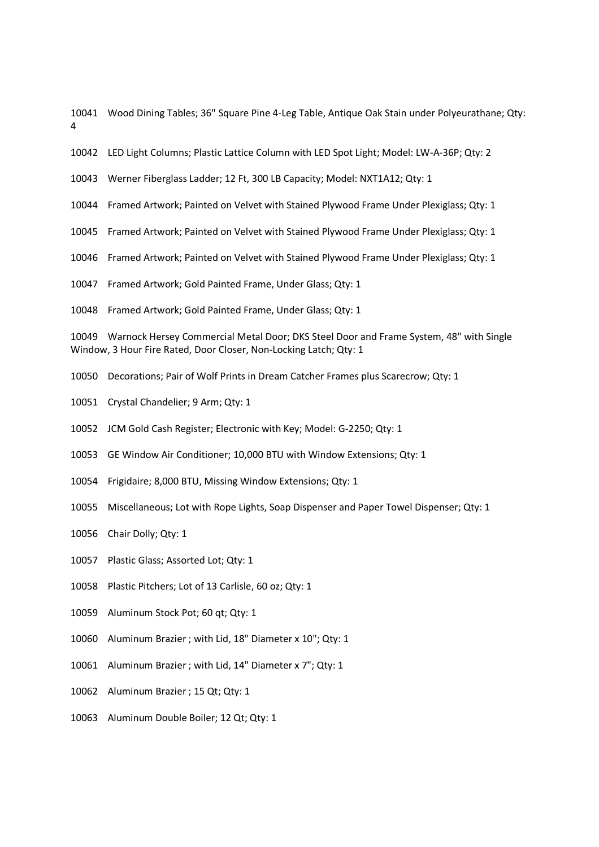10041 Wood Dining Tables; 36" Square Pine 4-Leg Table, Antique Oak Stain under Polyeurathane; Qty: 4

- 10042 LED Light Columns; Plastic Lattice Column with LED Spot Light; Model: LW-A-36P; Qty: 2
- 10043 Werner Fiberglass Ladder; 12 Ft, 300 LB Capacity; Model: NXT1A12; Qty: 1
- 10044 Framed Artwork; Painted on Velvet with Stained Plywood Frame Under Plexiglass; Qty: 1
- 10045 Framed Artwork; Painted on Velvet with Stained Plywood Frame Under Plexiglass; Qty: 1
- 10046 Framed Artwork; Painted on Velvet with Stained Plywood Frame Under Plexiglass; Qty: 1
- 10047 Framed Artwork; Gold Painted Frame, Under Glass; Qty: 1
- 10048 Framed Artwork; Gold Painted Frame, Under Glass; Qty: 1

10049 Warnock Hersey Commercial Metal Door; DKS Steel Door and Frame System, 48" with Single Window, 3 Hour Fire Rated, Door Closer, Non-Locking Latch; Qty: 1

- 10050 Decorations; Pair of Wolf Prints in Dream Catcher Frames plus Scarecrow; Qty: 1
- 10051 Crystal Chandelier; 9 Arm; Qty: 1
- 10052 JCM Gold Cash Register; Electronic with Key; Model: G-2250; Qty: 1
- 10053 GE Window Air Conditioner; 10,000 BTU with Window Extensions; Qty: 1
- 10054 Frigidaire; 8,000 BTU, Missing Window Extensions; Qty: 1
- 10055 Miscellaneous; Lot with Rope Lights, Soap Dispenser and Paper Towel Dispenser; Qty: 1
- 10056 Chair Dolly; Qty: 1
- 10057 Plastic Glass; Assorted Lot; Qty: 1
- 10058 Plastic Pitchers; Lot of 13 Carlisle, 60 oz; Qty: 1
- 10059 Aluminum Stock Pot; 60 qt; Qty: 1
- 10060 Aluminum Brazier ; with Lid, 18" Diameter x 10"; Qty: 1
- 10061 Aluminum Brazier ; with Lid, 14" Diameter x 7"; Qty: 1
- 10062 Aluminum Brazier ; 15 Qt; Qty: 1
- 10063 Aluminum Double Boiler; 12 Qt; Qty: 1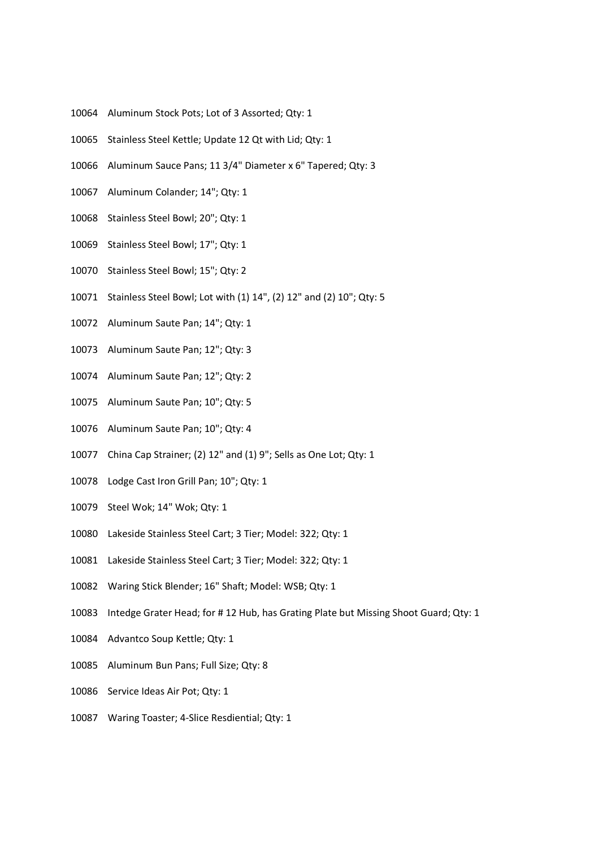- 10064 Aluminum Stock Pots; Lot of 3 Assorted; Qty: 1
- 10065 Stainless Steel Kettle; Update 12 Qt with Lid; Qty: 1
- 10066 Aluminum Sauce Pans; 11 3/4" Diameter x 6" Tapered; Qty: 3
- 10067 Aluminum Colander; 14"; Qty: 1
- 10068 Stainless Steel Bowl; 20"; Qty: 1
- 10069 Stainless Steel Bowl; 17"; Qty: 1
- 10070 Stainless Steel Bowl; 15"; Qty: 2
- 10071 Stainless Steel Bowl; Lot with (1) 14", (2) 12" and (2) 10"; Qty: 5
- 10072 Aluminum Saute Pan; 14"; Qty: 1
- 10073 Aluminum Saute Pan; 12"; Qty: 3
- 10074 Aluminum Saute Pan; 12"; Qty: 2
- 10075 Aluminum Saute Pan; 10"; Qty: 5
- 10076 Aluminum Saute Pan; 10"; Qty: 4
- 10077 China Cap Strainer; (2) 12" and (1) 9"; Sells as One Lot; Qty: 1
- 10078 Lodge Cast Iron Grill Pan; 10"; Qty: 1
- 10079 Steel Wok; 14" Wok; Qty: 1
- 10080 Lakeside Stainless Steel Cart; 3 Tier; Model: 322; Qty: 1
- 10081 Lakeside Stainless Steel Cart; 3 Tier; Model: 322; Qty: 1
- 10082 Waring Stick Blender; 16" Shaft; Model: WSB; Qty: 1
- 10083 Intedge Grater Head; for # 12 Hub, has Grating Plate but Missing Shoot Guard; Qty: 1
- 10084 Advantco Soup Kettle; Qty: 1
- 10085 Aluminum Bun Pans; Full Size; Qty: 8
- 10086 Service Ideas Air Pot; Qty: 1
- 10087 Waring Toaster; 4-Slice Resdiential; Qty: 1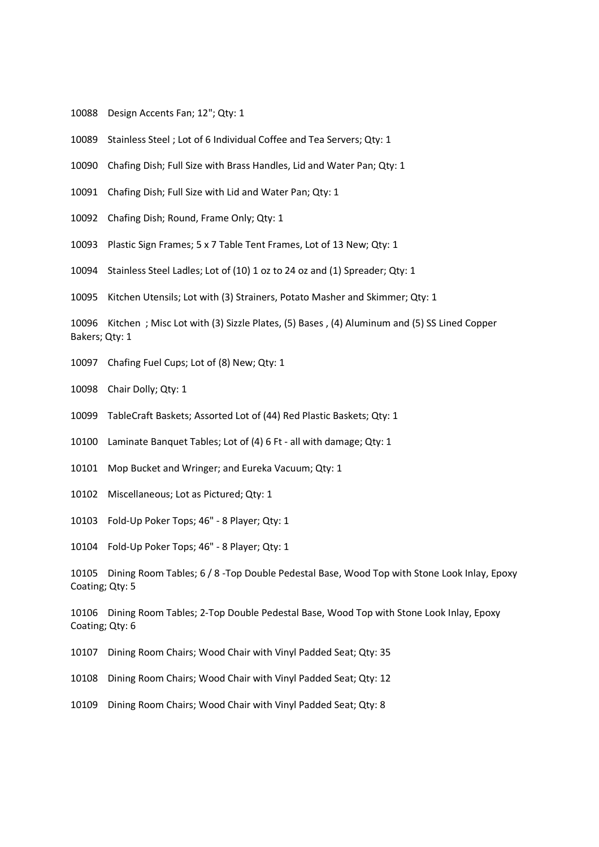- 10088 Design Accents Fan; 12"; Qty: 1
- 10089 Stainless Steel ; Lot of 6 Individual Coffee and Tea Servers; Qty: 1
- 10090 Chafing Dish; Full Size with Brass Handles, Lid and Water Pan; Qty: 1
- 10091 Chafing Dish; Full Size with Lid and Water Pan; Qty: 1
- 10092 Chafing Dish; Round, Frame Only; Qty: 1
- 10093 Plastic Sign Frames; 5 x 7 Table Tent Frames, Lot of 13 New; Qty: 1
- 10094 Stainless Steel Ladles; Lot of (10) 1 oz to 24 oz and (1) Spreader; Qty: 1
- 10095 Kitchen Utensils; Lot with (3) Strainers, Potato Masher and Skimmer; Qty: 1

10096 Kitchen ; Misc Lot with (3) Sizzle Plates, (5) Bases , (4) Aluminum and (5) SS Lined Copper Bakers; Qty: 1

10097 Chafing Fuel Cups; Lot of (8) New; Qty: 1

10098 Chair Dolly; Qty: 1

- 10099 TableCraft Baskets; Assorted Lot of (44) Red Plastic Baskets; Qty: 1
- 10100 Laminate Banquet Tables; Lot of (4) 6 Ft all with damage; Qty: 1
- 10101 Mop Bucket and Wringer; and Eureka Vacuum; Qty: 1
- 10102 Miscellaneous; Lot as Pictured; Qty: 1

10103 Fold-Up Poker Tops; 46" - 8 Player; Qty: 1

10104 Fold-Up Poker Tops; 46" - 8 Player; Qty: 1

10105 Dining Room Tables; 6 / 8 -Top Double Pedestal Base, Wood Top with Stone Look Inlay, Epoxy Coating; Qty: 5

10106 Dining Room Tables; 2-Top Double Pedestal Base, Wood Top with Stone Look Inlay, Epoxy Coating; Qty: 6

10107 Dining Room Chairs; Wood Chair with Vinyl Padded Seat; Qty: 35

10108 Dining Room Chairs; Wood Chair with Vinyl Padded Seat; Qty: 12

10109 Dining Room Chairs; Wood Chair with Vinyl Padded Seat; Qty: 8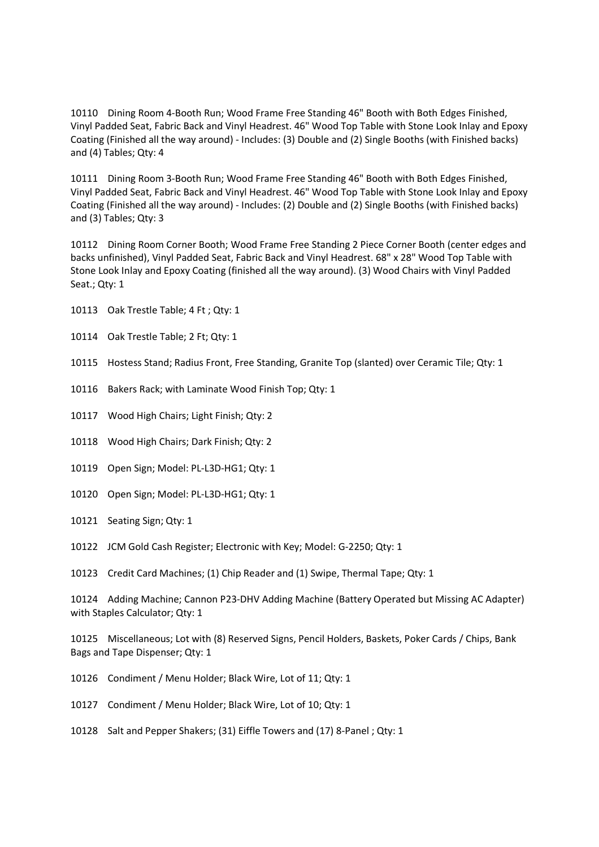10110 Dining Room 4-Booth Run; Wood Frame Free Standing 46" Booth with Both Edges Finished, Vinyl Padded Seat, Fabric Back and Vinyl Headrest. 46" Wood Top Table with Stone Look Inlay and Epoxy Coating (Finished all the way around) - Includes: (3) Double and (2) Single Booths (with Finished backs) and (4) Tables; Qty: 4

10111 Dining Room 3-Booth Run; Wood Frame Free Standing 46" Booth with Both Edges Finished, Vinyl Padded Seat, Fabric Back and Vinyl Headrest. 46" Wood Top Table with Stone Look Inlay and Epoxy Coating (Finished all the way around) - Includes: (2) Double and (2) Single Booths (with Finished backs) and (3) Tables; Qty: 3

10112 Dining Room Corner Booth; Wood Frame Free Standing 2 Piece Corner Booth (center edges and backs unfinished), Vinyl Padded Seat, Fabric Back and Vinyl Headrest. 68" x 28" Wood Top Table with Stone Look Inlay and Epoxy Coating (finished all the way around). (3) Wood Chairs with Vinyl Padded Seat.; Qty: 1

- 10113 Oak Trestle Table; 4 Ft ; Qty: 1
- 10114 Oak Trestle Table; 2 Ft; Qty: 1
- 10115 Hostess Stand; Radius Front, Free Standing, Granite Top (slanted) over Ceramic Tile; Qty: 1
- 10116 Bakers Rack; with Laminate Wood Finish Top; Qty: 1
- 10117 Wood High Chairs; Light Finish; Qty: 2
- 10118 Wood High Chairs; Dark Finish; Qty: 2
- 10119 Open Sign; Model: PL-L3D-HG1; Qty: 1
- 10120 Open Sign; Model: PL-L3D-HG1; Qty: 1
- 10121 Seating Sign; Qty: 1
- 10122 JCM Gold Cash Register; Electronic with Key; Model: G-2250; Qty: 1
- 10123 Credit Card Machines; (1) Chip Reader and (1) Swipe, Thermal Tape; Qty: 1

10124 Adding Machine; Cannon P23-DHV Adding Machine (Battery Operated but Missing AC Adapter) with Staples Calculator; Qty: 1

10125 Miscellaneous; Lot with (8) Reserved Signs, Pencil Holders, Baskets, Poker Cards / Chips, Bank Bags and Tape Dispenser; Qty: 1

- 10126 Condiment / Menu Holder; Black Wire, Lot of 11; Qty: 1
- 10127 Condiment / Menu Holder; Black Wire, Lot of 10; Qty: 1
- 10128 Salt and Pepper Shakers; (31) Eiffle Towers and (17) 8-Panel ; Qty: 1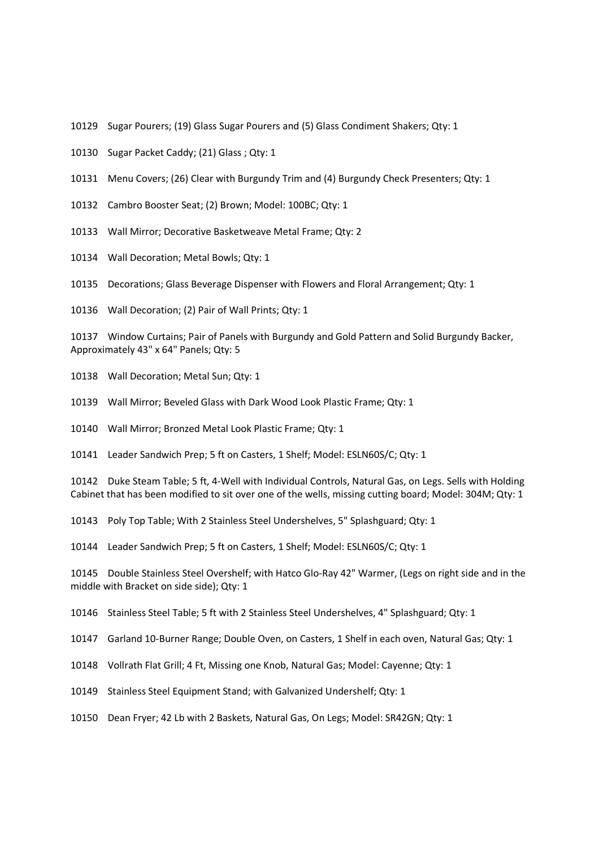- 10129 Sugar Pourers; (19) Glass Sugar Pourers and (5) Glass Condiment Shakers; Qty: 1
- 10130 Sugar Packet Caddy; (21) Glass ; Qty: 1
- 10131 Menu Covers; (26) Clear with Burgundy Trim and (4) Burgundy Check Presenters; Qty: 1
- 10132 Cambro Booster Seat; (2) Brown; Model: 100BC; Qty: 1
- 10133 Wall Mirror; Decorative Basketweave Metal Frame; Qty: 2
- 10134 Wall Decoration; Metal Bowls; Qty: 1

10135 Decorations; Glass Beverage Dispenser with Flowers and Floral Arrangement; Qty: 1

10136 Wall Decoration; (2) Pair of Wall Prints; Qty: 1

10137 Window Curtains; Pair of Panels with Burgundy and Gold Pattern and Solid Burgundy Backer, Approximately 43" x 64" Panels; Qty: 5

10138 Wall Decoration; Metal Sun; Qty: 1

10139 Wall Mirror; Beveled Glass with Dark Wood Look Plastic Frame; Qty: 1

10140 Wall Mirror; Bronzed Metal Look Plastic Frame; Qty: 1

10141 Leader Sandwich Prep; 5 ft on Casters, 1 Shelf; Model: ESLN60S/C; Qty: 1

10142 Duke Steam Table; 5 ft, 4-Well with Individual Controls, Natural Gas, on Legs. Sells with Holding Cabinet that has been modified to sit over one of the wells, missing cutting board; Model: 304M; Qty: 1

10143 Poly Top Table; With 2 Stainless Steel Undershelves, 5" Splashguard; Qty: 1

10144 Leader Sandwich Prep; 5 ft on Casters, 1 Shelf; Model: ESLN60S/C; Qty: 1

10145 Double Stainless Steel Overshelf; with Hatco Glo-Ray 42" Warmer, (Legs on right side and in the middle with Bracket on side side); Qty: 1

10146 Stainless Steel Table; 5 ft with 2 Stainless Steel Undershelves, 4" Splashguard; Qty: 1

10147 Garland 10-Burner Range; Double Oven, on Casters, 1 Shelf in each oven, Natural Gas; Qty: 1

10148 Vollrath Flat Grill; 4 Ft, Missing one Knob, Natural Gas; Model: Cayenne; Qty: 1

10149 Stainless Steel Equipment Stand; with Galvanized Undershelf; Qty: 1

10150 Dean Fryer; 42 Lb with 2 Baskets, Natural Gas, On Legs; Model: SR42GN; Qty: 1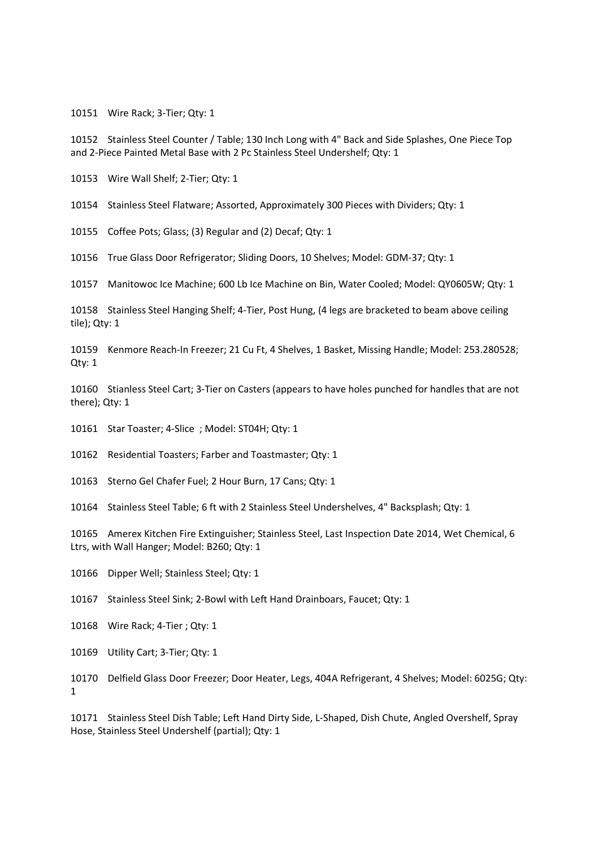10151 Wire Rack; 3-Tier; Qty: 1

10152 Stainless Steel Counter / Table; 130 Inch Long with 4" Back and Side Splashes, One Piece Top and 2-Piece Painted Metal Base with 2 Pc Stainless Steel Undershelf; Qty: 1

10153 Wire Wall Shelf; 2-Tier; Qty: 1

10154 Stainless Steel Flatware; Assorted, Approximately 300 Pieces with Dividers; Qty: 1

10155 Coffee Pots; Glass; (3) Regular and (2) Decaf; Qty: 1

10156 True Glass Door Refrigerator; Sliding Doors, 10 Shelves; Model: GDM-37; Qty: 1

10157 Manitowoc Ice Machine; 600 Lb Ice Machine on Bin, Water Cooled; Model: QY0605W; Qty: 1

10158 Stainless Steel Hanging Shelf; 4-Tier, Post Hung, (4 legs are bracketed to beam above ceiling tile); Qty: 1

10159 Kenmore Reach-In Freezer; 21 Cu Ft, 4 Shelves, 1 Basket, Missing Handle; Model: 253.280528; Qty: 1

10160 Stianless Steel Cart; 3-Tier on Casters (appears to have holes punched for handles that are not there); Qty: 1

10161 Star Toaster; 4-Slice ; Model: ST04H; Qty: 1

10162 Residential Toasters; Farber and Toastmaster; Qty: 1

10163 Sterno Gel Chafer Fuel; 2 Hour Burn, 17 Cans; Qty: 1

10164 Stainless Steel Table; 6 ft with 2 Stainless Steel Undershelves, 4" Backsplash; Qty: 1

10165 Amerex Kitchen Fire Extinguisher; Stainless Steel, Last Inspection Date 2014, Wet Chemical, 6 Ltrs, with Wall Hanger; Model: B260; Qty: 1

10166 Dipper Well; Stainless Steel; Qty: 1

10167 Stainless Steel Sink; 2-Bowl with Left Hand Drainboars, Faucet; Qty: 1

10168 Wire Rack; 4-Tier ; Qty: 1

10169 Utility Cart; 3-Tier; Qty: 1

10170 Delfield Glass Door Freezer; Door Heater, Legs, 404A Refrigerant, 4 Shelves; Model: 6025G; Qty: 1

10171 Stainless Steel Dish Table; Left Hand Dirty Side, L-Shaped, Dish Chute, Angled Overshelf, Spray Hose, Stainless Steel Undershelf (partial); Qty: 1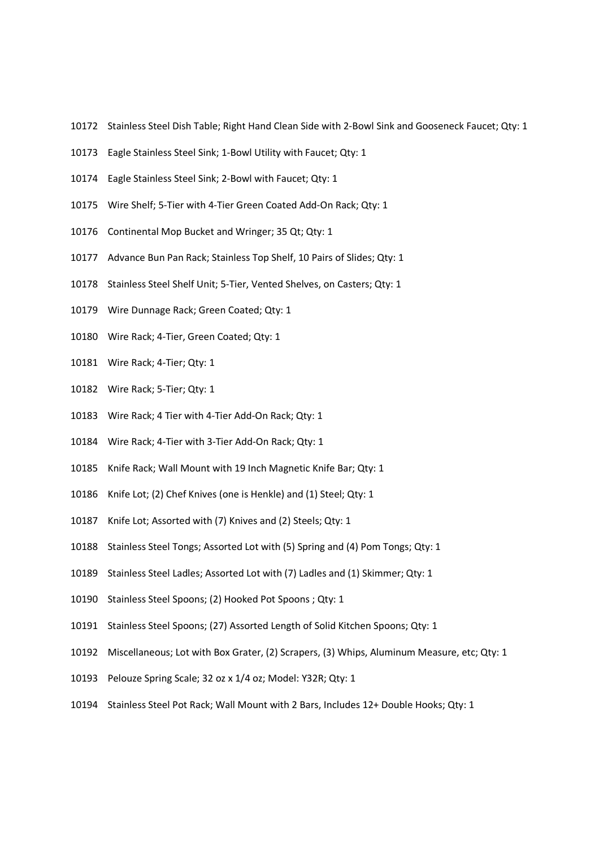- 10172 Stainless Steel Dish Table; Right Hand Clean Side with 2-Bowl Sink and Gooseneck Faucet; Qty: 1
- 10173 Eagle Stainless Steel Sink; 1-Bowl Utility with Faucet; Qty: 1
- 10174 Eagle Stainless Steel Sink; 2-Bowl with Faucet; Qty: 1
- 10175 Wire Shelf; 5-Tier with 4-Tier Green Coated Add-On Rack; Qty: 1
- 10176 Continental Mop Bucket and Wringer; 35 Qt; Qty: 1
- 10177 Advance Bun Pan Rack; Stainless Top Shelf, 10 Pairs of Slides; Qty: 1
- 10178 Stainless Steel Shelf Unit; 5-Tier, Vented Shelves, on Casters; Qty: 1
- 10179 Wire Dunnage Rack; Green Coated; Qty: 1
- 10180 Wire Rack; 4-Tier, Green Coated; Qty: 1
- 10181 Wire Rack; 4-Tier; Qty: 1
- 10182 Wire Rack; 5-Tier; Qty: 1
- 10183 Wire Rack; 4 Tier with 4-Tier Add-On Rack; Qty: 1
- 10184 Wire Rack; 4-Tier with 3-Tier Add-On Rack; Qty: 1
- 10185 Knife Rack; Wall Mount with 19 Inch Magnetic Knife Bar; Qty: 1
- 10186 Knife Lot; (2) Chef Knives (one is Henkle) and (1) Steel; Qty: 1
- 10187 Knife Lot; Assorted with (7) Knives and (2) Steels; Qty: 1
- 10188 Stainless Steel Tongs; Assorted Lot with (5) Spring and (4) Pom Tongs; Qty: 1
- 10189 Stainless Steel Ladles; Assorted Lot with (7) Ladles and (1) Skimmer; Qty: 1
- 10190 Stainless Steel Spoons; (2) Hooked Pot Spoons ; Qty: 1
- 10191 Stainless Steel Spoons; (27) Assorted Length of Solid Kitchen Spoons; Qty: 1
- 10192 Miscellaneous; Lot with Box Grater, (2) Scrapers, (3) Whips, Aluminum Measure, etc; Qty: 1
- 10193 Pelouze Spring Scale; 32 oz x 1/4 oz; Model: Y32R; Qty: 1
- 10194 Stainless Steel Pot Rack; Wall Mount with 2 Bars, Includes 12+ Double Hooks; Qty: 1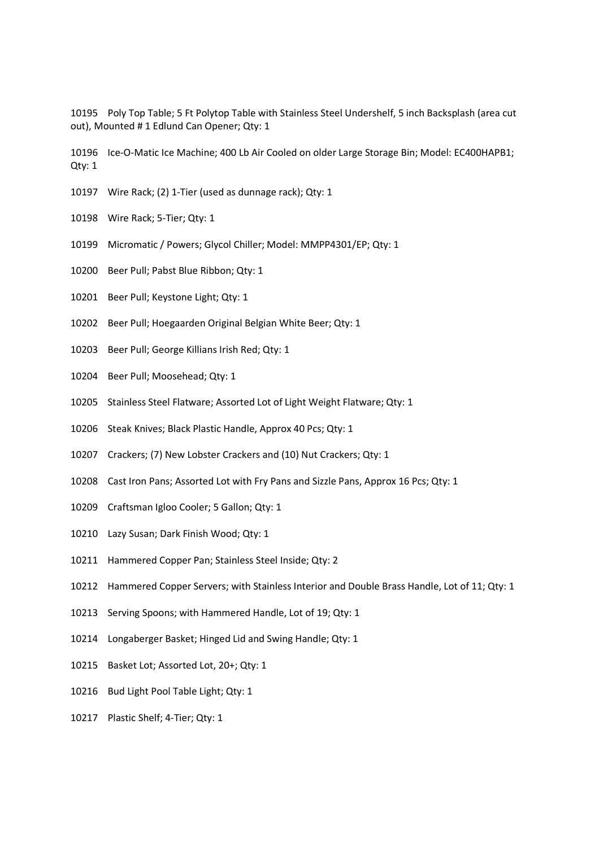10195 Poly Top Table; 5 Ft Polytop Table with Stainless Steel Undershelf, 5 inch Backsplash (area cut out), Mounted # 1 Edlund Can Opener; Qty: 1

10196 Ice-O-Matic Ice Machine; 400 Lb Air Cooled on older Large Storage Bin; Model: EC400HAPB1; Qty: 1

- 10197 Wire Rack; (2) 1-Tier (used as dunnage rack); Qty: 1
- 10198 Wire Rack; 5-Tier; Qty: 1
- 10199 Micromatic / Powers; Glycol Chiller; Model: MMPP4301/EP; Qty: 1
- 10200 Beer Pull; Pabst Blue Ribbon; Qty: 1
- 10201 Beer Pull; Keystone Light; Qty: 1
- 10202 Beer Pull; Hoegaarden Original Belgian White Beer; Qty: 1
- 10203 Beer Pull; George Killians Irish Red; Qty: 1
- 10204 Beer Pull; Moosehead; Qty: 1
- 10205 Stainless Steel Flatware; Assorted Lot of Light Weight Flatware; Qty: 1
- 10206 Steak Knives; Black Plastic Handle, Approx 40 Pcs; Qty: 1
- 10207 Crackers; (7) New Lobster Crackers and (10) Nut Crackers; Qty: 1
- 10208 Cast Iron Pans; Assorted Lot with Fry Pans and Sizzle Pans, Approx 16 Pcs; Qty: 1
- 10209 Craftsman Igloo Cooler; 5 Gallon; Qty: 1
- 10210 Lazy Susan; Dark Finish Wood; Qty: 1
- 10211 Hammered Copper Pan; Stainless Steel Inside; Qty: 2
- 10212 Hammered Copper Servers; with Stainless Interior and Double Brass Handle, Lot of 11; Qty: 1
- 10213 Serving Spoons; with Hammered Handle, Lot of 19; Qty: 1
- 10214 Longaberger Basket; Hinged Lid and Swing Handle; Qty: 1
- 10215 Basket Lot; Assorted Lot, 20+; Qty: 1
- 10216 Bud Light Pool Table Light; Qty: 1
- 10217 Plastic Shelf; 4-Tier; Qty: 1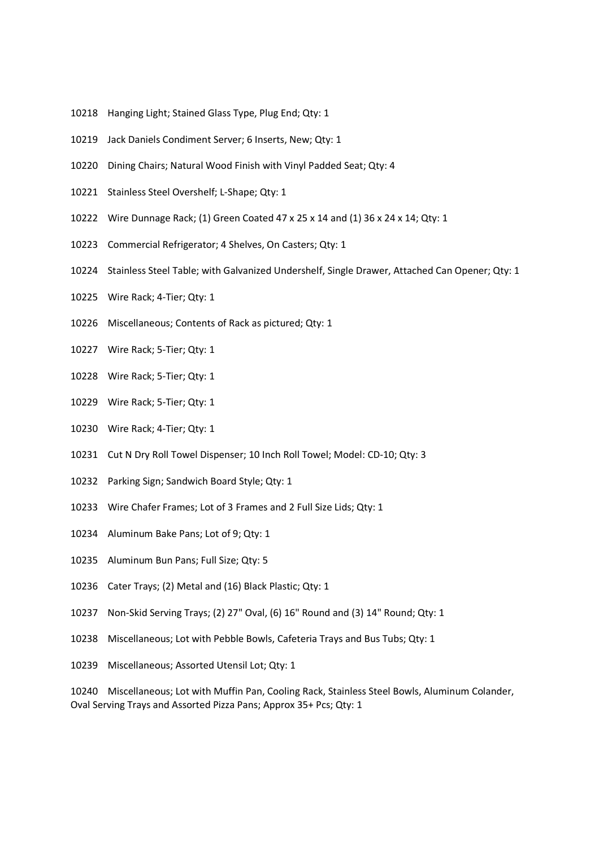- 10218 Hanging Light; Stained Glass Type, Plug End; Qty: 1
- 10219 Jack Daniels Condiment Server; 6 Inserts, New; Qty: 1
- 10220 Dining Chairs; Natural Wood Finish with Vinyl Padded Seat; Qty: 4
- 10221 Stainless Steel Overshelf; L-Shape; Qty: 1
- 10222 Wire Dunnage Rack; (1) Green Coated 47 x 25 x 14 and (1) 36 x 24 x 14; Qty: 1
- 10223 Commercial Refrigerator; 4 Shelves, On Casters; Qty: 1
- 10224 Stainless Steel Table; with Galvanized Undershelf, Single Drawer, Attached Can Opener; Qty: 1
- 10225 Wire Rack; 4-Tier; Qty: 1
- 10226 Miscellaneous; Contents of Rack as pictured; Qty: 1
- 10227 Wire Rack; 5-Tier; Qty: 1
- 10228 Wire Rack; 5-Tier; Qty: 1
- 10229 Wire Rack; 5-Tier; Qty: 1
- 10230 Wire Rack; 4-Tier; Qty: 1
- 10231 Cut N Dry Roll Towel Dispenser; 10 Inch Roll Towel; Model: CD-10; Qty: 3
- 10232 Parking Sign; Sandwich Board Style; Qty: 1
- 10233 Wire Chafer Frames; Lot of 3 Frames and 2 Full Size Lids; Qty: 1
- 10234 Aluminum Bake Pans; Lot of 9; Qty: 1
- 10235 Aluminum Bun Pans; Full Size; Qty: 5
- 10236 Cater Trays; (2) Metal and (16) Black Plastic; Qty: 1
- 10237 Non-Skid Serving Trays; (2) 27" Oval, (6) 16" Round and (3) 14" Round; Qty: 1
- 10238 Miscellaneous; Lot with Pebble Bowls, Cafeteria Trays and Bus Tubs; Qty: 1
- 10239 Miscellaneous; Assorted Utensil Lot; Qty: 1

10240 Miscellaneous; Lot with Muffin Pan, Cooling Rack, Stainless Steel Bowls, Aluminum Colander, Oval Serving Trays and Assorted Pizza Pans; Approx 35+ Pcs; Qty: 1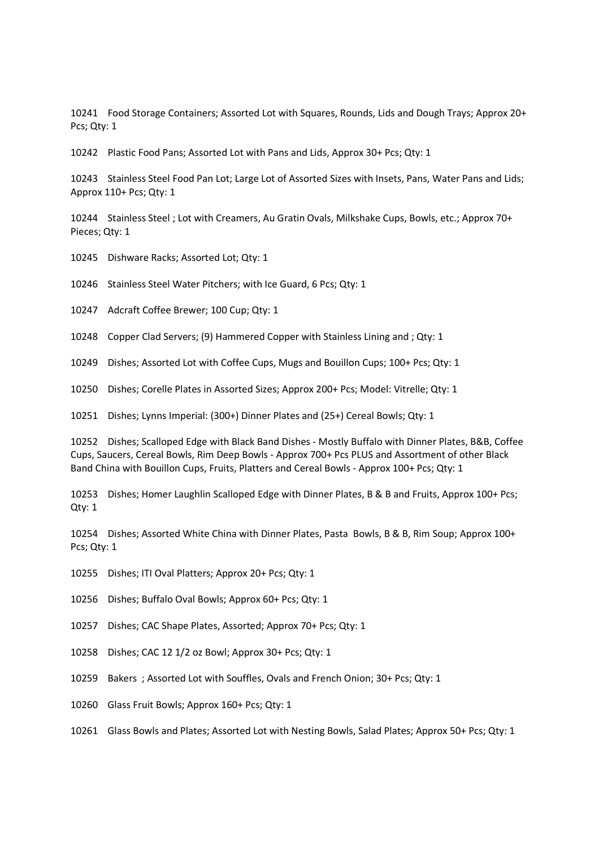10241 Food Storage Containers; Assorted Lot with Squares, Rounds, Lids and Dough Trays; Approx 20+ Pcs; Qty: 1

10242 Plastic Food Pans; Assorted Lot with Pans and Lids, Approx 30+ Pcs; Qty: 1

10243 Stainless Steel Food Pan Lot; Large Lot of Assorted Sizes with Insets, Pans, Water Pans and Lids; Approx 110+ Pcs; Qty: 1

10244 Stainless Steel ; Lot with Creamers, Au Gratin Ovals, Milkshake Cups, Bowls, etc.; Approx 70+ Pieces; Qty: 1

10245 Dishware Racks; Assorted Lot; Qty: 1

10246 Stainless Steel Water Pitchers; with Ice Guard, 6 Pcs; Qty: 1

10247 Adcraft Coffee Brewer; 100 Cup; Qty: 1

10248 Copper Clad Servers; (9) Hammered Copper with Stainless Lining and ; Qty: 1

10249 Dishes; Assorted Lot with Coffee Cups, Mugs and Bouillon Cups; 100+ Pcs; Qty: 1

10250 Dishes; Corelle Plates in Assorted Sizes; Approx 200+ Pcs; Model: Vitrelle; Qty: 1

10251 Dishes; Lynns Imperial: (300+) Dinner Plates and (25+) Cereal Bowls; Qty: 1

10252 Dishes; Scalloped Edge with Black Band Dishes - Mostly Buffalo with Dinner Plates, B&B, Coffee Cups, Saucers, Cereal Bowls, Rim Deep Bowls - Approx 700+ Pcs PLUS and Assortment of other Black Band China with Bouillon Cups, Fruits, Platters and Cereal Bowls - Approx 100+ Pcs; Qty: 1

10253 Dishes; Homer Laughlin Scalloped Edge with Dinner Plates, B & B and Fruits, Approx 100+ Pcs; Qty: 1

10254 Dishes; Assorted White China with Dinner Plates, Pasta Bowls, B & B, Rim Soup; Approx 100+ Pcs; Qty: 1

10255 Dishes; ITI Oval Platters; Approx 20+ Pcs; Qty: 1

10256 Dishes; Buffalo Oval Bowls; Approx 60+ Pcs; Qty: 1

10257 Dishes; CAC Shape Plates, Assorted; Approx 70+ Pcs; Qty: 1

10258 Dishes; CAC 12 1/2 oz Bowl; Approx 30+ Pcs; Qty: 1

10259 Bakers ; Assorted Lot with Souffles, Ovals and French Onion; 30+ Pcs; Qty: 1

10260 Glass Fruit Bowls; Approx 160+ Pcs; Qty: 1

10261 Glass Bowls and Plates; Assorted Lot with Nesting Bowls, Salad Plates; Approx 50+ Pcs; Qty: 1